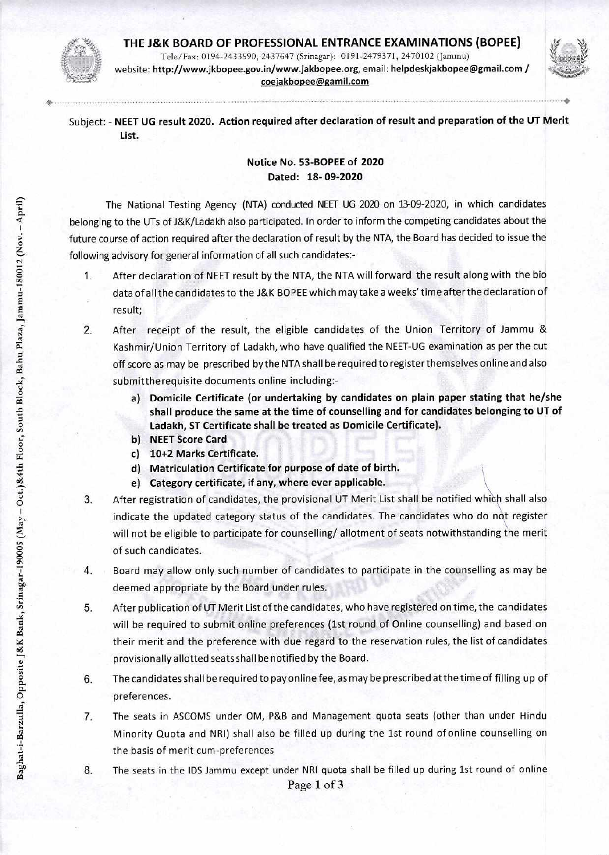## **THE J&K BOARD OF PROFESSIONAL ENTRANCE EXAMINATIONS (BOPEE)**



Tele/Fax: 0194-2433590, 2437647 (Srinagar): 0191-2479371, 2470102 (Jammu) website: http://www.jkbopee.gov.in/www.jakbopee.org, email: helpdeskjakbopee@gmail.com / coejakbopee@gamil.com



Subject: - **NEET UG result 2020. Action required after declaration of result and preparation of the UT Merit List.** 

## **Notice No. 53-BOPEE of 2020 Dated: 18-09-2020**

The National Testing Agency (NTA) conducted NEET UG 2020 on 13-09-2020, in which candidates belonging to the UTs of J&K/Ladakh also participated. In order to inform the competing candidates about the future course of action required after the declaration of result by the NTA, the Board has decided to issue the following advisory for general information of all such candidates:-

- 1. After declaration of NEET result by the NTA, the NTA will forward the result along with the bio data of all the candidates to the J&K BOPEE which may take a weeks' time afterthe declaration of result;
- 2. After receipt of the result, the eligible candidates of the Union Territory of Jammu & Kashmir/Union Territory of Ladakh, who have qualified the NEET-UG examination as per the cut off score as may be prescribed by the NTA shall be required to register themselves online and also submitthe requisite documents online including:
	- **a) Domicile Certificate (or undertaking by candidates on plain paper stating that he/she shall produce the same at the time of counselling and for candidates belonging to UT of Ladakh, ST Certificate shall be treated as Domicile Certificate).**
	- **b) NEET Score Card**
	- **c) 10+2 Marks Certificate.**
	- **d) Matriculation Certificate for purpose of date of birth.**
	- **e) Category certificate, if any, where ever applicable.**
- 3. After registration of candidates, the provisional UT Merit List shall be notified whch shall also indicate the updated category status of the candidates. The candidates who do not register will not be eligible to participate for counselling/ allotment of seats notwithstanding the merit of such candidates.
- 4. Board may allow only such number of candidates to participate in the counselling as may be deemed appropriate by the Board under rules.
- 5. After publication of UT Merit List of the candidates, who have registered on time, the candidates will be required to submit online preferences (1st round of Online counselling) and based on their merit and the preference with due regard to the reservation rules, the list of candidates provisionally allotted seats shall be notified by the Board.
- 6. The candidates shall be required to pay online fee, as may be prescribed at the time of filling up of preferences.
- 7. The seats in ASCOMS under OM, P&B and Management quota seats (other than under Hindu Minority Quota and NRI) shall also be filled up during the 1st round of online counselling on the basis of merit cum-preferences
- 
- 8. The seats in the IDS Jammu except under NRI quota shall be filled up during 1st round of online Page 1 of 3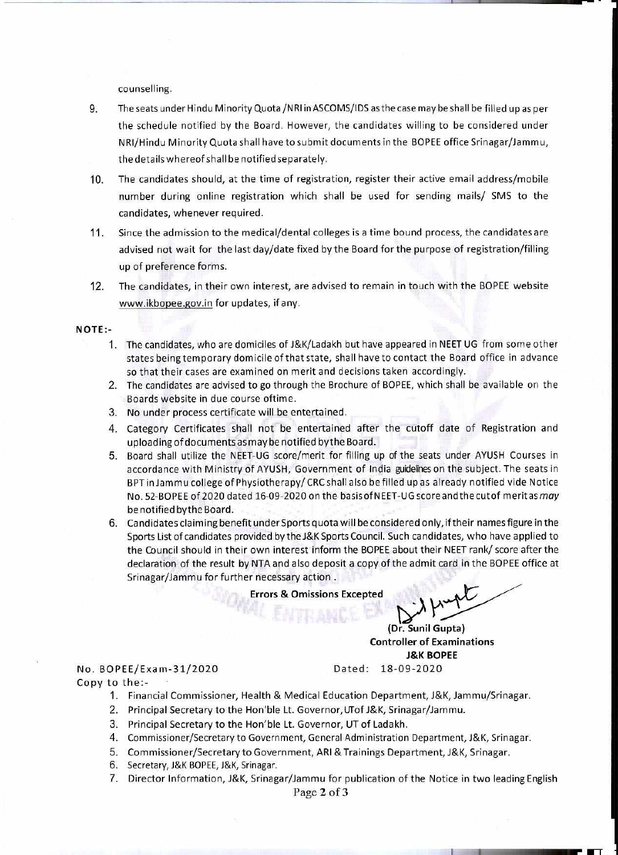counselling.

- 9. The seats under Hindu Minority Quota /NRI in ASCOMS/IDS as the case may be shall be filled up as per the schedule notified by the Board. However, the candidates willing to be considered under NRI/Hindu Minority Quota shall have to submit documents in the BOPEE office Srinagar/Jammu, the details whereof shall be notified separately.
- 10. The candidates should, at the time of registration, register their active email address/mobile number during online registration which shall be used for sending mails/ SMS to the candidates, whenever required.
- 11. Since the admission to the medical/dental colleges is a time bound process, the candidates are advised not wait for the last day/date fixed by the Board for the purpose of registration/filling up of preference forms.
- 12. The candidates, in their own interest, are advised to remain in touch with the BOPEE website www.ikbopee.gov.in for updates, if any.

## **NOTE:-**

- 1. The candidates, who are domiciles of J&K/Ladakh but have appeared in NEET UG from some other states being temporary domicile of that state, shall have to contact the Board office in advance so that their cases are examined on merit and decisions taken accordingly.
- 2. The candidates are advised to go through the Brochure of BOPEE, which shall be available on the Boards website in due course oftime.
- 3. No under process certificate will be entertained.
- 4. Category Certificates shall not be entertained after the cutoff date of Registration and uploading of documents as may be notified bythe Board.
- 5. Board shall utilize the NEET-UG score/merit for filling up of the seats under AYUSH Courses in accordance with Ministry of AYUSH, Government of India guidelines on the subject. The seats in BPT in Jamm u college of Physiotherapy/ CRC shall also be filled up as already notified vide Notice No. 52-BOPEE of 2020 dated 16-09-2020 on the basis of NEET-UG scoreandthecutof meritas may be notified bythe Board.
- 6. Candidates claiming benefit underSports quota will be considered only, if their names figure in the Sports List of candidates provided by the J&K Sports Council. Such candidates, who have applied to the Council should in their own interest inform the BOPEE about their NEET rank/ score after the declaration of the result by NTA and also deposit a copy of the admit card in the BOPEE office at Srinagar/Jammu for further necessary action .

**Errors & Omissions Excepted** 

Dated: 18-09-2020 **Controller of Examinations J&K BOPEE (Dr. Sunil Gupta)** 

## Copy to the:- No. BOPEE/Exam-31/2020

- 1. Financial Commissioner, Health & Medical Education Department, J&K, Jammu/Srinagar.
- 2. Principal Secretary to the lon'ble Lt. Governor,UTofJ&K, Srinagar/Jammu.
- 3. Principal Secretary to the Hon'ble Lt. Governor, UT of Ladakh.
- 4. Commissioner/Secretary to Government, General Administration Department, J&K, Srinagar.
- 5. Commissioner/Secretary to Government, ARI &Trainings Department, J&K, Srinagar.
- 6. Secretary, J&K BOPEE, J&K, Srinagar.
- 7. Director Information, J&K, Srinagar/Jammu for publication of the Notice in two leading English

Page 2 of 3